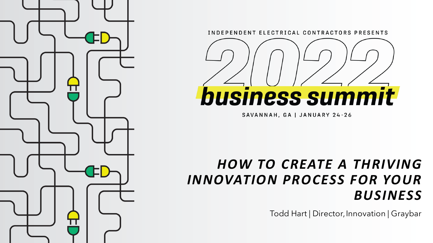

INDEPENDENT ELECTRICAL CONTRACTORS PRESENTS



SAVANNAH, GA | JANUARY 24-26

## *HOW TO CREATE A THRIVING INNOVATION PROCESS FOR YOUR BUSINESS*

Todd Hart | Director, Innovation | Graybar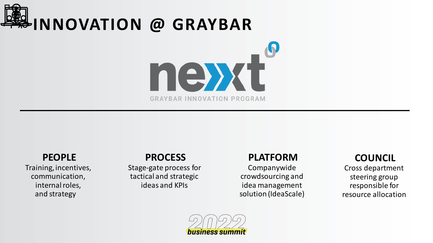

#### **PEOPLE**

Training, incentives, communication, internal roles, and strategy

### **PROCESS**

Stage-gate process for tactical and strategic ideas and KPIs

#### **PLATFORM**

Companywide crowdsourcing and idea management solution (IdeaScale)

### **COUNCIL**

Cross department steering group responsible for resource allocation

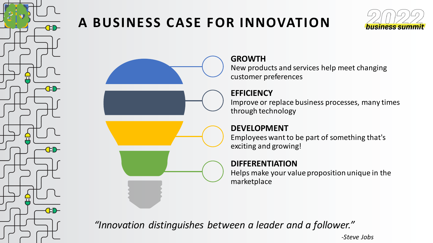

## **A BUSINESS CASE FOR INNOVATION**



**GROWTH**

New products and services help meet changing customer preferences

#### **EFFICIENCY**

Improve or replace business processes, many times through technology

#### **DEVELOPMENT**

Employees want to be part of something that's exciting and growing!

#### **DIFFERENTIATION**

Helps make your value proposition unique in the marketplace

*"Innovation distinguishes between a leader and a follower."*

*-Steve Jobs*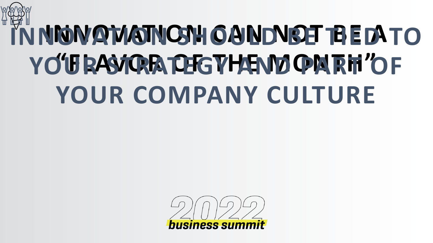# **IN NOVATION CHOULD BE THE DATO YO'URASTRATEGYHEND PARTI'OF YOUR COMPANY CULTURE**

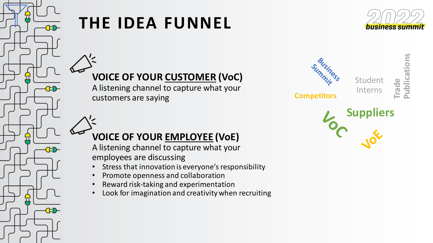

# **THE IDEA FUNNEL**

![](_page_4_Picture_2.jpeg)

**Trade**

**Publications**

**VOICE OF YOUR CUSTOMER (VoC)**

A listening channel to capture what your customers are saying

![](_page_4_Figure_5.jpeg)

## **VOICE OF YOUR EMPLOYEE (VoE)**

A listening channel to capture what your employees are discussing

- Stress that innovation is everyone's responsibility
- Promote openness and collaboration
- Reward risk-taking and experimentation
- Look for imagination and creativity when recruiting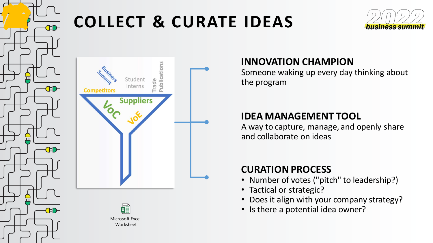![](_page_5_Picture_0.jpeg)

# **COLLECT & CURATE IDEAS**

![](_page_5_Picture_2.jpeg)

# Student rade Interns **Competitors Suppliers**

![](_page_5_Picture_4.jpeg)

## **INNOVATION CHAMPION**

Someone waking up every day thinking about the program

### **IDEA MANAGEMENT TOOL**

A way to capture, manage, and openly share and collaborate on ideas

## **CURATION PROCESS**

- Number of votes ("pitch" to leadership?)
- Tactical or strategic?
- Does it align with your company strategy?
- Is there a potential idea owner?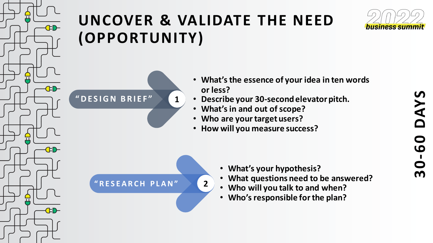![](_page_6_Picture_0.jpeg)

# **UNCOVER & VALIDATE THE NEED (OPPORTUNITY)**

![](_page_6_Picture_2.jpeg)

- **What's the essence of your idea in ten words or less?**
- **Describe your 30-second elevator pitch.**
- **What's in and out of scope?**
- **Who are your target users?**
- **How will you measure success?**

**" R E S E A R C H P L A N " 2**

**" D E S I G N B R I E F " 1**

- **What's your hypothesis?**
- **What questions need to be answered?**
- **Who will you talk to and when?**
- **Who's responsible for the plan?**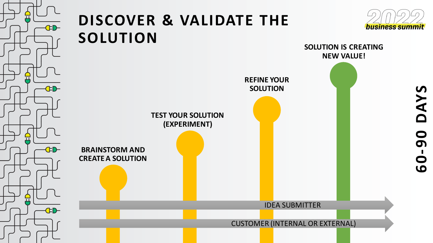![](_page_7_Figure_0.jpeg)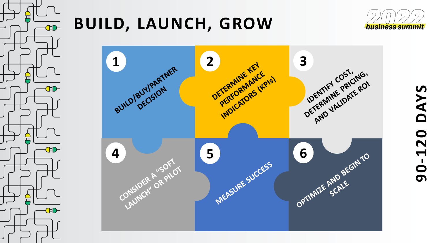![](_page_8_Picture_0.jpeg)

# **BUILD, LAUNCH, GROW**

![](_page_8_Picture_2.jpeg)

![](_page_8_Figure_3.jpeg)

# DAYS **90-120 DAYS** $90 - 120$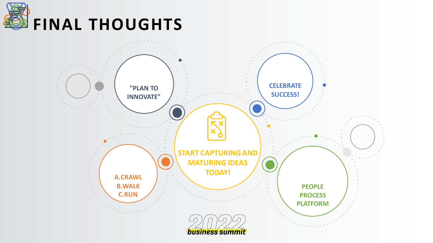![](_page_9_Picture_0.jpeg)

![](_page_9_Figure_1.jpeg)